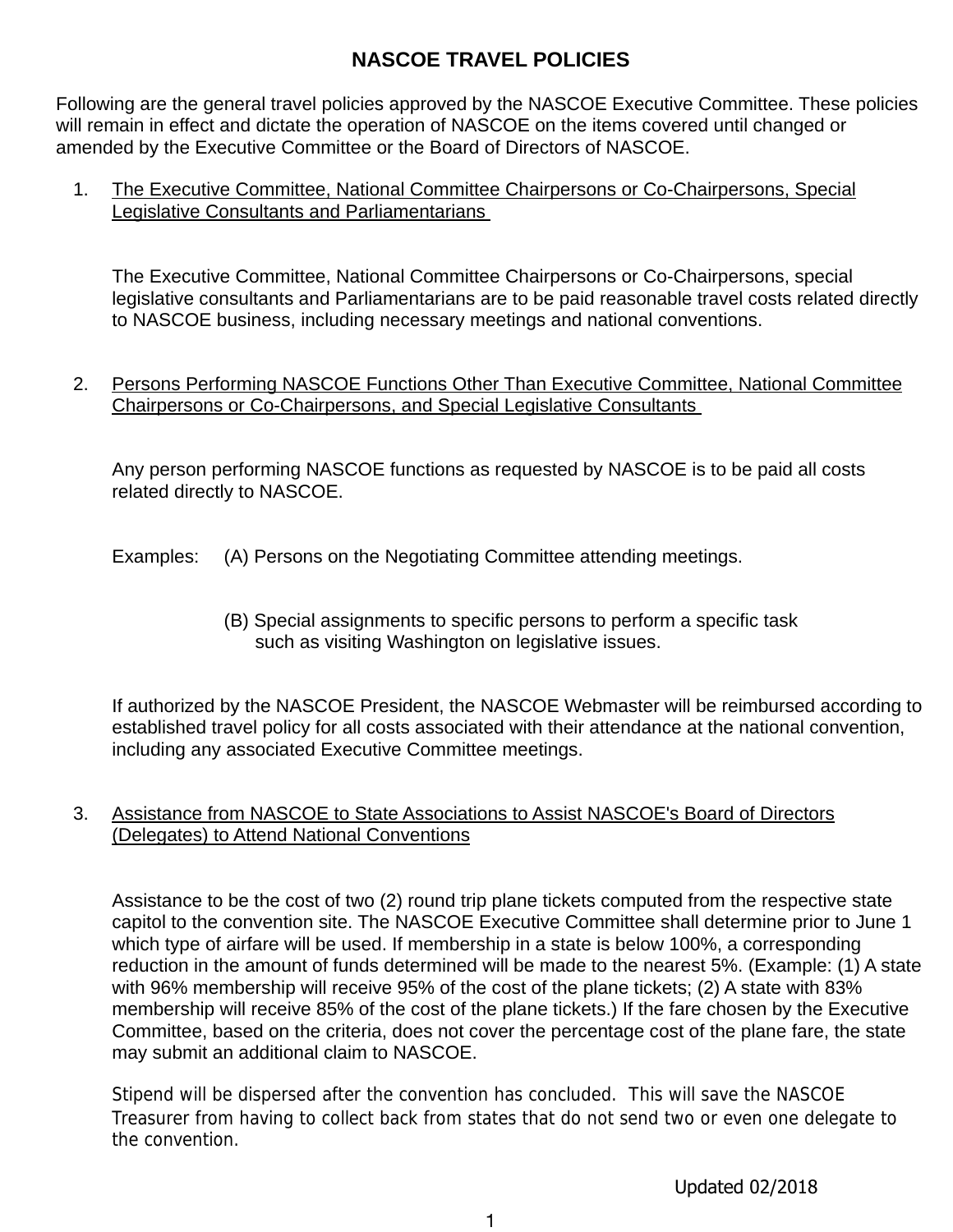# **NASCOE TRAVEL POLICIES**

Following are the general travel policies approved by the NASCOE Executive Committee. These policies will remain in effect and dictate the operation of NASCOE on the items covered until changed or amended by the Executive Committee or the Board of Directors of NASCOE.

1. The Executive Committee, National Committee Chairpersons or Co-Chairpersons, Special Legislative Consultants and Parliamentarians

The Executive Committee, National Committee Chairpersons or Co-Chairpersons, special legislative consultants and Parliamentarians are to be paid reasonable travel costs related directly to NASCOE business, including necessary meetings and national conventions.

2. Persons Performing NASCOE Functions Other Than Executive Committee, National Committee Chairpersons or Co-Chairpersons, and Special Legislative Consultants

Any person performing NASCOE functions as requested by NASCOE is to be paid all costs related directly to NASCOE.

Examples: (A) Persons on the Negotiating Committee attending meetings.

(B) Special assignments to specific persons to perform a specific task such as visiting Washington on legislative issues.

If authorized by the NASCOE President, the NASCOE Webmaster will be reimbursed according to established travel policy for all costs associated with their attendance at the national convention, including any associated Executive Committee meetings.

3. Assistance from NASCOE to State Associations to Assist NASCOE's Board of Directors (Delegates) to Attend National Conventions

Assistance to be the cost of two (2) round trip plane tickets computed from the respective state capitol to the convention site. The NASCOE Executive Committee shall determine prior to June 1 which type of airfare will be used. If membership in a state is below 100%, a corresponding reduction in the amount of funds determined will be made to the nearest 5%. (Example: (1) A state with 96% membership will receive 95% of the cost of the plane tickets; (2) A state with 83% membership will receive 85% of the cost of the plane tickets.) If the fare chosen by the Executive Committee, based on the criteria, does not cover the percentage cost of the plane fare, the state may submit an additional claim to NASCOE.

Stipend will be dispersed after the convention has concluded. This will save the NASCOE Treasurer from having to collect back from states that do not send two or even one delegate to the convention.

Updated 02/2018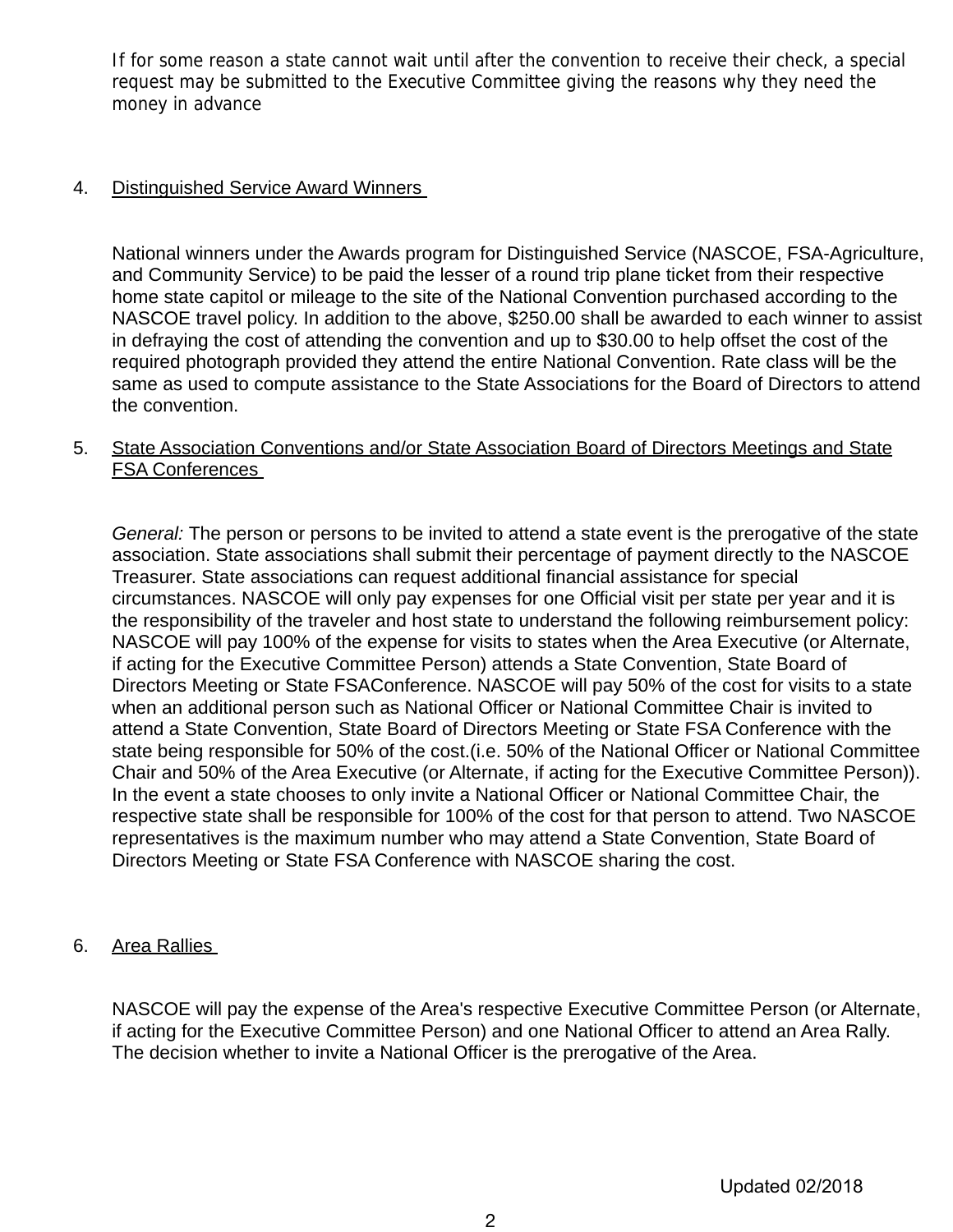If for some reason a state cannot wait until after the convention to receive their check, a special request may be submitted to the Executive Committee giving the reasons why they need the money in advance

## 4. Distinguished Service Award Winners

National winners under the Awards program for Distinguished Service (NASCOE, FSA-Agriculture, and Community Service) to be paid the lesser of a round trip plane ticket from their respective home state capitol or mileage to the site of the National Convention purchased according to the NASCOE travel policy. In addition to the above, \$250.00 shall be awarded to each winner to assist in defraying the cost of attending the convention and up to \$30.00 to help offset the cost of the required photograph provided they attend the entire National Convention. Rate class will be the same as used to compute assistance to the State Associations for the Board of Directors to attend the convention.

# 5. State Association Conventions and/or State Association Board of Directors Meetings and State FSA Conferences

*General:* The person or persons to be invited to attend a state event is the prerogative of the state association. State associations shall submit their percentage of payment directly to the NASCOE Treasurer. State associations can request additional financial assistance for special circumstances. NASCOE will only pay expenses for one Official visit per state per year and it is the responsibility of the traveler and host state to understand the following reimbursement policy: NASCOE will pay 100% of the expense for visits to states when the Area Executive (or Alternate, if acting for the Executive Committee Person) attends a State Convention, State Board of Directors Meeting or State FSAConference. NASCOE will pay 50% of the cost for visits to a state when an additional person such as National Officer or National Committee Chair is invited to attend a State Convention, State Board of Directors Meeting or State FSA Conference with the state being responsible for 50% of the cost.(i.e. 50% of the National Officer or National Committee Chair and 50% of the Area Executive (or Alternate, if acting for the Executive Committee Person)). In the event a state chooses to only invite a National Officer or National Committee Chair, the respective state shall be responsible for 100% of the cost for that person to attend. Two NASCOE representatives is the maximum number who may attend a State Convention, State Board of Directors Meeting or State FSA Conference with NASCOE sharing the cost.

### 6. Area Rallies

NASCOE will pay the expense of the Area's respective Executive Committee Person (or Alternate, if acting for the Executive Committee Person) and one National Officer to attend an Area Rally. The decision whether to invite a National Officer is the prerogative of the Area.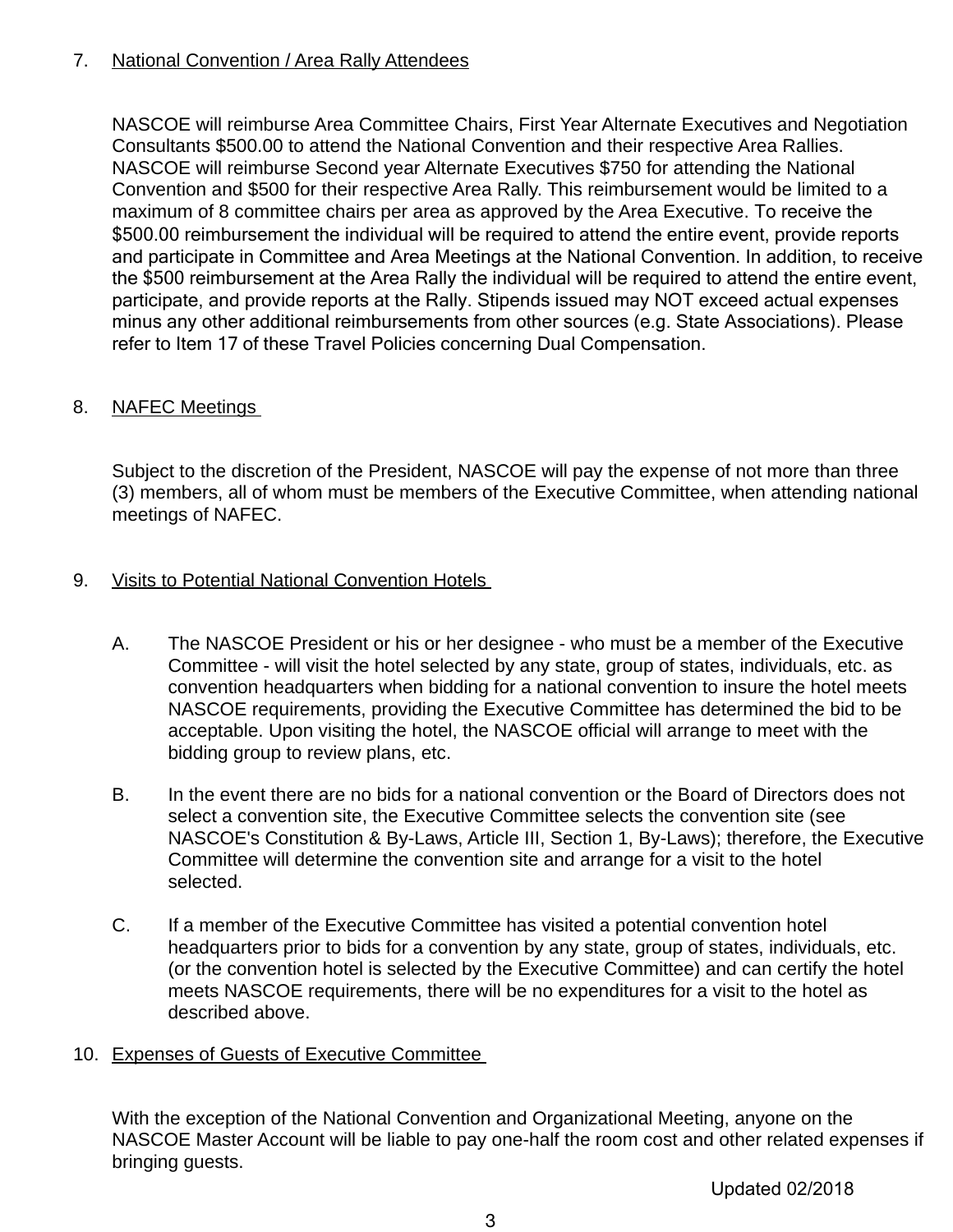# 7. National Convention / Area Rally Attendees

NASCOE will reimburse Area Committee Chairs, First Year Alternate Executives and Negotiation Consultants \$500.00 to attend the National Convention and their respective Area Rallies. NASCOE will reimburse Second year Alternate Executives \$750 for attending the National Convention and \$500 for their respective Area Rally. This reimbursement would be limited to a maximum of 8 committee chairs per area as approved by the Area Executive. To receive the \$500.00 reimbursement the individual will be required to attend the entire event, provide reports and participate in Committee and Area Meetings at the National Convention. In addition, to receive the \$500 reimbursement at the Area Rally the individual will be required to attend the entire event, participate, and provide reports at the Rally. Stipends issued may NOT exceed actual expenses minus any other additional reimbursements from other sources (e.g. State Associations). Please refer to Item 17 of these Travel Policies concerning Dual Compensation.

# 8. NAFEC Meetings

Subject to the discretion of the President, NASCOE will pay the expense of not more than three (3) members, all of whom must be members of the Executive Committee, when attending national meetings of NAFEC.

# 9. Visits to Potential National Convention Hotels

- A. The NASCOE President or his or her designee who must be a member of the Executive Committee - will visit the hotel selected by any state, group of states, individuals, etc. as convention headquarters when bidding for a national convention to insure the hotel meets NASCOE requirements, providing the Executive Committee has determined the bid to be acceptable. Upon visiting the hotel, the NASCOE official will arrange to meet with the bidding group to review plans, etc.
- B. In the event there are no bids for a national convention or the Board of Directors does not select a convention site, the Executive Committee selects the convention site (see NASCOE's Constitution & By-Laws, Article III, Section 1, By-Laws); therefore, the Executive Committee will determine the convention site and arrange for a visit to the hotel selected.
- C. If a member of the Executive Committee has visited a potential convention hotel headquarters prior to bids for a convention by any state, group of states, individuals, etc. (or the convention hotel is selected by the Executive Committee) and can certify the hotel meets NASCOE requirements, there will be no expenditures for a visit to the hotel as described above.
- 10. Expenses of Guests of Executive Committee

With the exception of the National Convention and Organizational Meeting, anyone on the NASCOE Master Account will be liable to pay one-half the room cost and other related expenses if bringing guests.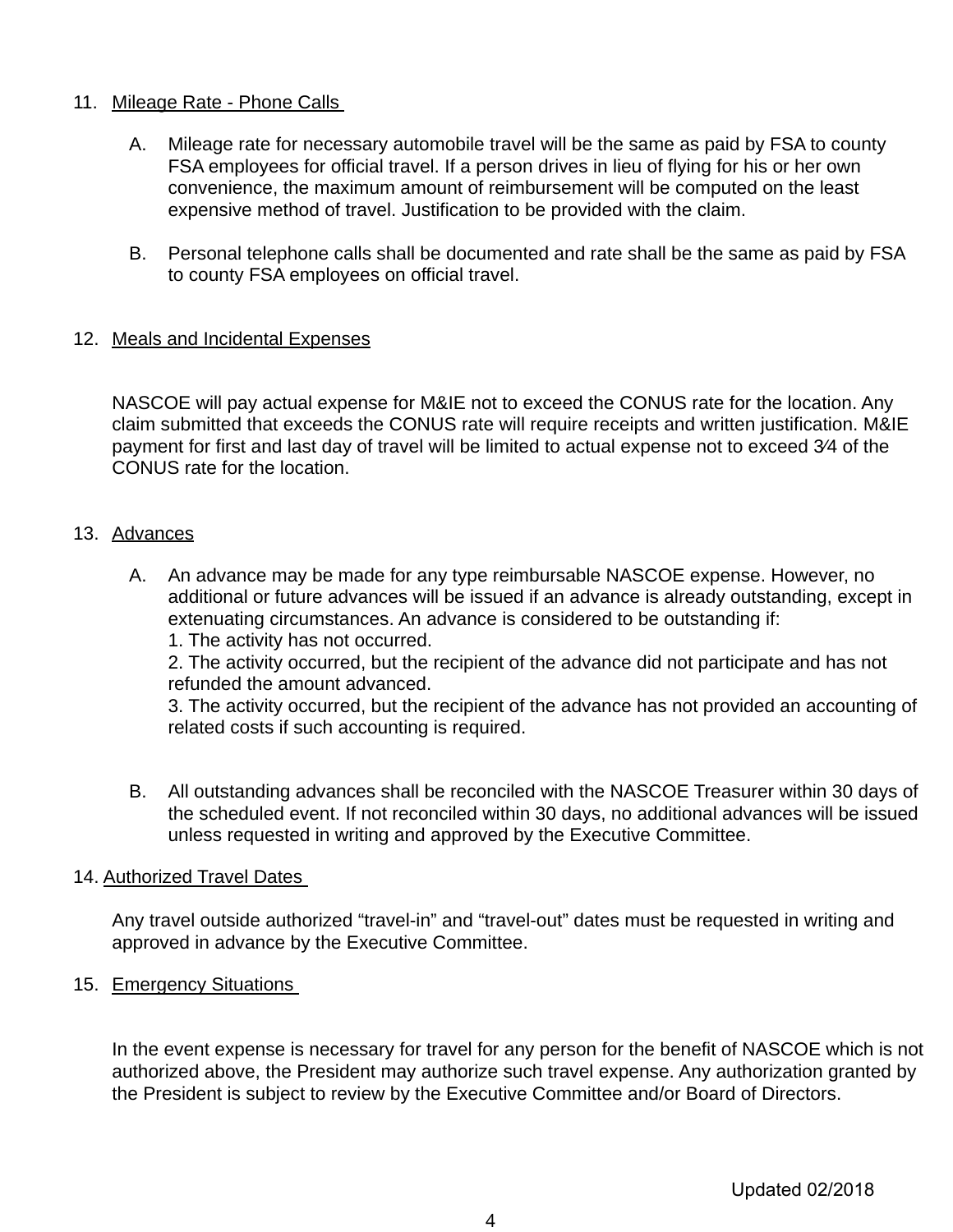## 11. Mileage Rate - Phone Calls

- A. Mileage rate for necessary automobile travel will be the same as paid by FSA to county FSA employees for official travel. If a person drives in lieu of flying for his or her own convenience, the maximum amount of reimbursement will be computed on the least expensive method of travel. Justification to be provided with the claim.
- B. Personal telephone calls shall be documented and rate shall be the same as paid by FSA to county FSA employees on official travel.

# 12. Meals and Incidental Expenses

NASCOE will pay actual expense for M&IE not to exceed the CONUS rate for the location. Any claim submitted that exceeds the CONUS rate will require receipts and written justification. M&IE payment for first and last day of travel will be limited to actual expense not to exceed 3⁄4 of the CONUS rate for the location.

#### 13. Advances

- A. An advance may be made for any type reimbursable NASCOE expense. However, no additional or future advances will be issued if an advance is already outstanding, except in extenuating circumstances. An advance is considered to be outstanding if:
	- 1. The activity has not occurred.

2. The activity occurred, but the recipient of the advance did not participate and has not refunded the amount advanced.

3. The activity occurred, but the recipient of the advance has not provided an accounting of related costs if such accounting is required.

B. All outstanding advances shall be reconciled with the NASCOE Treasurer within 30 days of the scheduled event. If not reconciled within 30 days, no additional advances will be issued unless requested in writing and approved by the Executive Committee.

### 14. Authorized Travel Dates

Any travel outside authorized "travel-in" and "travel-out" dates must be requested in writing and approved in advance by the Executive Committee.

### 15. Emergency Situations

In the event expense is necessary for travel for any person for the benefit of NASCOE which is not authorized above, the President may authorize such travel expense. Any authorization granted by the President is subject to review by the Executive Committee and/or Board of Directors.